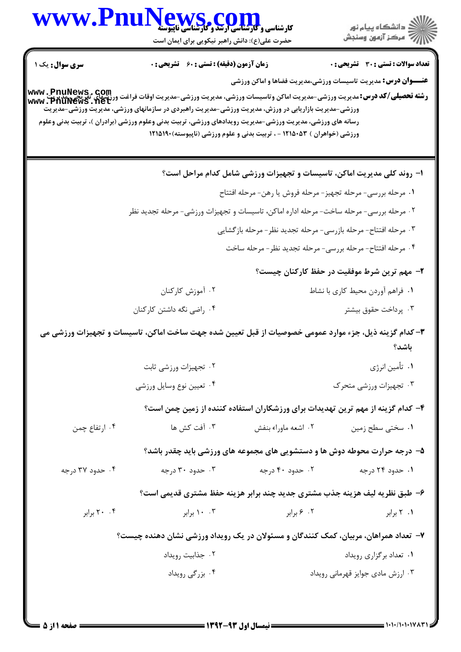|                        | WWW.PnuNews.com<br>حضرت علی(ع): دانش راهبر نیکویی برای ایمان است                                                                                                                                                                                        |                     | ِ<br>∭ دانشڪاه پيام نور<br>∭ مرڪز آزمون وسنڊش                                   |
|------------------------|---------------------------------------------------------------------------------------------------------------------------------------------------------------------------------------------------------------------------------------------------------|---------------------|---------------------------------------------------------------------------------|
| <b>سری سوال :</b> یک ۱ | <b>زمان آزمون (دقیقه) : تستی : 60 ٪ تشریحی : 0</b>                                                                                                                                                                                                      |                     | <b>تعداد سوالات : تستی : 30 ٪ تشریحی : 0</b>                                    |
|                        | <b>رشته تحصیلی/کد درس:</b> مدیریت ورزشی-مدیریت اماکن وتاسیسات ورزشی، مدیریت ورزشی-مدیریت اوقات فراغت ورزشهای تقریحی،مدیر<br>Www . PfiuNewS . net<br>ورزشی-مدیریت بازاریابی در ورزش، مدیریت ورزشی-مدیریت راهبردی در سازمانهای ورزشی، مدیریت ورزشی-مدیریت |                     | <b>عنـــوان درس:</b> مدیریت تاسیسات ورزشی،مدیریت فضاها و اماکن ورزشی            |
|                        | رسانه های ورزشی، مدیریت ورزشی-مدیریت رویدادهای ورزشی، تربیت بدنی وعلوم ورزشی (برادران )، تربیت بدنی وعلوم<br>ورزشی (خواهران ) ۱۲۱۵۰۵۳ - ، تربیت بدنی و علوم ورزشی (ناپیوسته)۱۲۱۵۱۹۰                                                                     |                     |                                                                                 |
|                        |                                                                                                                                                                                                                                                         |                     | ا– روند کلی مدیریت اماکن، تاسیسات و تجهیزات ورزشی شامل کدام مراحل است؟          |
|                        |                                                                                                                                                                                                                                                         |                     | ١. مرحله بررسي- مرحله تجهيز- مرحله فروش يا رهن- مرحله افتتاح                    |
|                        | ۰۲ مرحله بررسی- مرحله ساخت- مرحله اداره اماکن، تاسیسات و تجهیزات ورزشی- مرحله تجدید نظر                                                                                                                                                                 |                     |                                                                                 |
|                        |                                                                                                                                                                                                                                                         |                     | ۰۳ مرحله افتتاح- مرحله بازرسي- مرحله تجديد نظر- مرحله بازگشايي                  |
|                        |                                                                                                                                                                                                                                                         |                     | ۰۴ مرحله افتتاح- مرحله بررسي- مرحله تجديد نظر- مرحله ساخت                       |
|                        |                                                                                                                                                                                                                                                         |                     | ۲- مهم ترین شرط موفقیت در حفظ کارکنان چیست؟                                     |
|                        | ۰۲ آموزش کارکنان                                                                                                                                                                                                                                        |                     | ١. فراهم أوردن محيط كاري با نشاط                                                |
|                        | ۰۴ راضی نگه داشتن کارکنان                                                                                                                                                                                                                               |                     | ۰۳ پرداخت حقوق بیشتر                                                            |
|                        | ۳- کدام گزینه ذیل، جزء موارد عمومی خصوصیات از قبل تعیین شده جهت ساخت اماکن، تاسیسات و تجهیزات ورزشی می                                                                                                                                                  |                     | باشد؟                                                                           |
|                        | ۰۲ تجهیزات ورزشی ثابت                                                                                                                                                                                                                                   |                     | ١. تأمين انرژي                                                                  |
|                        | ۰۴ تعيين نوع وسايل ورزشي                                                                                                                                                                                                                                |                     | ۰۳ تجهیزات ورزشی متحرک                                                          |
|                        |                                                                                                                                                                                                                                                         |                     | ۴– کدام گزینه از مهم ترین تهدیدات برای ورزشکاران استفاده کننده از زمین چمن است؟ |
| ۰۴ ارتفاع چمن          | ۰۳ آفت کش ها                                                                                                                                                                                                                                            | ۰۲ اشعه ماوراء بنفش | ۰۱ سختی سطح زمین                                                                |
|                        |                                                                                                                                                                                                                                                         |                     | ۵– درجه حرارت محوطه دوش ها و دستشویی های مجموعه های ورزشی باید چقدر باشد؟       |
| ۰۴ حدود ۳۷ درجه        | ۰۳ حدود ۳۰ درجه                                                                                                                                                                                                                                         | ۰۲ حدود ۴۰ درجه     | ۰۱ حدود ۲۴ درجه                                                                 |
|                        | ۶- طبق نظریه لیف هزینه جذب مشتری جدید چند برابر هزینه حفظ مشتری قدیمی است؟                                                                                                                                                                              |                     |                                                                                 |
| ۲۰ ۲۰ برابر            | ۰۰ ۱۰ برابر                                                                                                                                                                                                                                             | ۰۲ ۶ برابر          | ۰۱ ۲ برابر                                                                      |
|                        | ۷– تعداد همراهان، مربیان، کمک کنندگان و مسئولان در یک رویداد ورزشی نشان دهنده چیست؟                                                                                                                                                                     |                     |                                                                                 |
|                        | ۰۲ جذابیت رویداد                                                                                                                                                                                                                                        |                     | ۰۱ تعداد برگزاری رویداد                                                         |
|                        | ۰۴ بزرگی رویداد                                                                                                                                                                                                                                         |                     | ۰۳ ارزش مادی جوایز قهرمانی رویداد                                               |
|                        |                                                                                                                                                                                                                                                         |                     |                                                                                 |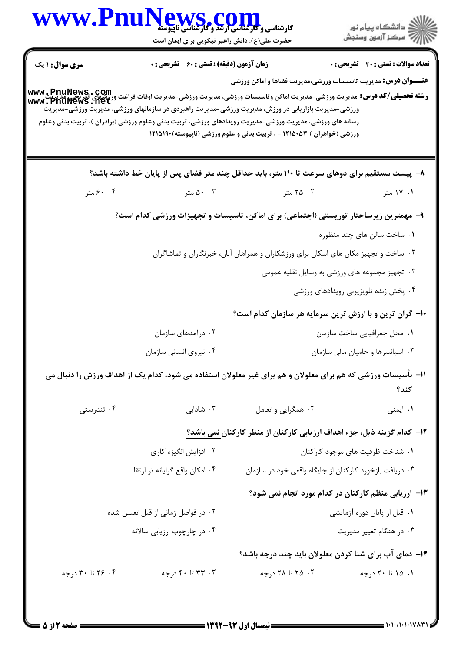| WWW.PnuNews.com                                                                                                                                                                                                  |                                               |                                                                        | ڪ دانشڪاه پيام نور<br>۾ مرڪز آزمون وسنڊش                                                                                                                                                                                                                 |
|------------------------------------------------------------------------------------------------------------------------------------------------------------------------------------------------------------------|-----------------------------------------------|------------------------------------------------------------------------|----------------------------------------------------------------------------------------------------------------------------------------------------------------------------------------------------------------------------------------------------------|
|                                                                                                                                                                                                                  | حضرت علی(ع): دانش راهبر نیکویی برای ایمان است |                                                                        |                                                                                                                                                                                                                                                          |
| سری سوال: ۱ یک                                                                                                                                                                                                   | زمان آزمون (دقیقه) : تستی : 60 ٪ تشریحی : 0   |                                                                        | <b>تعداد سوالات : تستي : 30 ٪ تشريحي : 0</b>                                                                                                                                                                                                             |
|                                                                                                                                                                                                                  |                                               |                                                                        | <b>عنـــوان درس:</b> مدیریت تاسیسات ورزشی،مدیریت فضاها و اماکن ورزشی<br><b>رشته تحصیلی/کد درس:</b><br>و <b>شته تحصیلی/کد درس:</b> مدیریت ورزشی-مدیریت اماکن وتاسیسات ورزشی، مدیریت ورزشی-مدیریت اوقات فراغت ورزشهای نفریچی، مدرب<br> www . PhuNews . het |
| ورزشی-مدیریت بازاریابی در ورزش، مدیریت ورزشی-مدیریت راهبردی در سازمانهای ورزشی، مدیریت ورزشی-مدیریت<br>رسانه های ورزشی، مدیریت ورزشی-مدیریت رویدادهای ورزشی، تربیت بدنی وعلوم ورزشی (برادران )، تربیت بدنی وعلوم |                                               | ورزشی (خواهران ) ۱۲۱۵۰۵۳ - ، تربیت بدنی و علوم ورزشی (ناپیوسته)۱۲۱۵۱۹۰ |                                                                                                                                                                                                                                                          |
|                                                                                                                                                                                                                  |                                               |                                                                        | ۸–  پیست مستقیم برای دوهای سرعت تا ۱۱۰ متر، باید حداقل چند متر فضای پس از پایان خط داشته باشد؟                                                                                                                                                           |
| ۰. ۶۰ متر                                                                                                                                                                                                        | ۵۰ ۵۰ متر                                     | ۲. ۲۵ متر                                                              | ۰۱ ۱۷ متر                                                                                                                                                                                                                                                |
|                                                                                                                                                                                                                  |                                               |                                                                        | ۹– مهمترین زیرساختار توریستی (اجتماعی) برای اماکن، تاسیسات و تجهیزات ورزشی کدام است؟                                                                                                                                                                     |
|                                                                                                                                                                                                                  |                                               |                                                                        | ۰۱ ساخت سالن های چند منظوره                                                                                                                                                                                                                              |
|                                                                                                                                                                                                                  |                                               |                                                                        | ۰۲ ساخت و تجهیز مکان های اسکان برای ورزشکاران و همراهان آنان، خبرنگاران و تماشاگران                                                                                                                                                                      |
|                                                                                                                                                                                                                  |                                               |                                                                        | ۰۳ تجهیز مجموعه های ورزشی به وسایل نقلیه عمومی                                                                                                                                                                                                           |
|                                                                                                                                                                                                                  |                                               |                                                                        | ۰۴ پخش زنده تلویزیونی رویدادهای ورزشی                                                                                                                                                                                                                    |
|                                                                                                                                                                                                                  |                                               |                                                                        | ۱۰- گران ترین و با ارزش ترین سرمایه هر سازمان کدام است؟                                                                                                                                                                                                  |
|                                                                                                                                                                                                                  | ۰۲ درآمدهای سازمان                            |                                                                        | ٠١ محل جغرافيايي ساخت سازمان                                                                                                                                                                                                                             |
|                                                                                                                                                                                                                  | ۰۴ نیروی انسانی سازمان                        |                                                                        | ۰۳ اسپانسرها و حامیان مالی سازمان                                                                                                                                                                                                                        |
|                                                                                                                                                                                                                  |                                               |                                                                        | 11- تأسیسات ورزشی که هم برای معلولان و هم برای غیر معلولان استفاده می شود، کدام یک از اهداف ورزش را دنبال می<br>كند؟                                                                                                                                     |
| ۰۴ تندرستی                                                                                                                                                                                                       | ۰۳ شادابی                                     | ۰۲ همگرایی و تعامل                                                     | ۰۱ ایمنی                                                                                                                                                                                                                                                 |
|                                                                                                                                                                                                                  |                                               |                                                                        | ۱۲– کدام گزینه ذیل، جزء اهداف ارزیابی کارکنان از منظر کارکنا <u>ن نمی</u> باشد؟                                                                                                                                                                          |
|                                                                                                                                                                                                                  | ۰۲ افزایش انگیزه کاری                         |                                                                        | ٠١ شناخت ظرفيت هاى موجود كاركنان                                                                                                                                                                                                                         |
|                                                                                                                                                                                                                  | ۰۴ امکان واقع گرایانه تر ارتقا                |                                                                        | ۰۳ دریافت بازخورد کارکنان از جایگاه واقعی خود در سازمان                                                                                                                                                                                                  |
|                                                                                                                                                                                                                  |                                               |                                                                        | ۱۳- ارزیابی منظم کارکنان در کدام مورد انجام نمی شود؟                                                                                                                                                                                                     |
|                                                                                                                                                                                                                  | ۰۲ در فواصل زمانی از قبل تعیین شده            |                                                                        | ۰۱ قبل از پایان دوره آزمایشی                                                                                                                                                                                                                             |
|                                                                                                                                                                                                                  | ۰۴ در چارچوب ارزیابی سالانه                   |                                                                        | ۰۳ در هنگام تغییر مدیریت                                                                                                                                                                                                                                 |
|                                                                                                                                                                                                                  |                                               |                                                                        | ۱۴- دمای آب برای شنا کردن معلولان باید چند درجه باشد؟                                                                                                                                                                                                    |
| ۰۴ تا ۳۰ درجه                                                                                                                                                                                                    | ۰۳ تا ۴۰ درجه                                 | ۰۲ تا ۲۸ درجه                                                          | ۰۱ ۱۵ تا ۲۰ درجه                                                                                                                                                                                                                                         |
|                                                                                                                                                                                                                  |                                               |                                                                        |                                                                                                                                                                                                                                                          |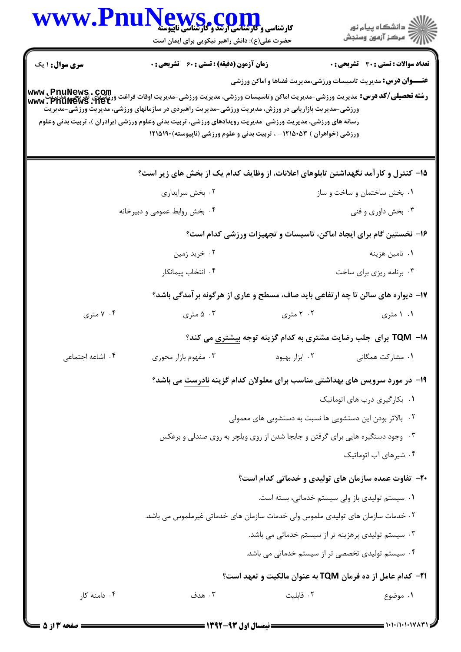| www.Phu                | ews.com<br><b>کارشناسی و کارشناسی ارشد و کارشناسی ناپیوسته</b><br>حضرت علی(ع): دانش راهبر نیکویی برای ایمان است                                                                                                                                                                                                                                                                                                   |                                                                               | ڪ دانشڪاه پيا <sub>م</sub> نور<br>ر <i>7</i> مرڪز آزمون وسنڊش                                                 |
|------------------------|-------------------------------------------------------------------------------------------------------------------------------------------------------------------------------------------------------------------------------------------------------------------------------------------------------------------------------------------------------------------------------------------------------------------|-------------------------------------------------------------------------------|---------------------------------------------------------------------------------------------------------------|
| <b>سری سوال : ۱ یک</b> | <b>زمان آزمون (دقیقه) : تستی : 60 ٪ تشریحی : 0</b><br>رشته تحصیلی/کد درس: مدیریت ورزشی-مدیریت اماکن وتاسیسات ورزشی، مدیریت ورزشی-مدیریت اوقات فراغت ورزشهای تقریبی، مد<br>Www . PhuNews . net<br>ورزشی-مدیریت بازاریابی در ورزش، مدیریت ورزشی-مدیریت راهبردی در سازمانهای ورزشی، مدیریت ورزشی-مدیریت<br>رسانه های ورزشی، مدیریت ورزشی-مدیریت رویدادهای ورزشی، تربیت بدنی وعلوم ورزشی (برادران )، تربیت بدنی وعلوم |                                                                               | تعداد سوالات : تستى : 30 ٪ تشريحي : 0<br><b>عنـــوان درس:</b> مدیریت تاسیسات ورزشی،مدیریت فضاها و اماکن ورزشی |
|                        | ورزشی (خواهران ) ۱۲۱۵۰۵۳ - ، تربیت بدنی و علوم ورزشی (ناپیوسته)۱۹۱۵۱۹۰                                                                                                                                                                                                                                                                                                                                            |                                                                               |                                                                                                               |
|                        | ۱۵– کنترل و کارآمد نگهداشتن تابلوهای اعلانات، از وظایف کدام یک از بخش های زیر است؟                                                                                                                                                                                                                                                                                                                                |                                                                               |                                                                                                               |
|                        | ۰۲ بخش سرايداري                                                                                                                                                                                                                                                                                                                                                                                                   |                                                                               | ۰۱ بخش ساختمان و ساخت و ساز                                                                                   |
|                        | ۰۴ بخش روابط عمومی و دبیرخانه                                                                                                                                                                                                                                                                                                                                                                                     |                                                                               | ۰۳ بخش داوری و فنی                                                                                            |
|                        |                                                                                                                                                                                                                                                                                                                                                                                                                   |                                                                               | ۱۶– نخستین گام برای ایجاد اماکن، تاسیسات و تجهیزات ورزشی کدام است؟                                            |
|                        | ۰۲ خرید زمین                                                                                                                                                                                                                                                                                                                                                                                                      |                                                                               | ۰۱ تامین هزینه                                                                                                |
|                        | ۰۴ انتخاب پیمانکار                                                                                                                                                                                                                                                                                                                                                                                                |                                                                               | ۰۳ برنامه ریزی برای ساخت                                                                                      |
|                        |                                                                                                                                                                                                                                                                                                                                                                                                                   |                                                                               | ۱۷- دیواره های سالن تا چه ارتفاعی باید صاف، مسطح و عاری از هرگونه بر آمدگی باشد؟                              |
| ۰۴ متری                | ۰۳ متری                                                                                                                                                                                                                                                                                                                                                                                                           | ۰۲ متری                                                                       | ۰۱ متری                                                                                                       |
|                        |                                                                                                                                                                                                                                                                                                                                                                                                                   |                                                                               | ۱۸− TQM برای جلب رضایت مشتری به کدام گزینه توجه <u>بیشت</u> ری می کند؟                                        |
| ۰۴ اشاعه اجتماعی       | ۰۳ مفهوم بازار محوری                                                                                                                                                                                                                                                                                                                                                                                              | ۰۲ ابزار بهبود                                                                | ۰۱ مشا <sub>ر</sub> کت همگان <sub>ی</sub>                                                                     |
|                        | ۱۹- در مورد سرویس های بهداشتی مناسب برای معلولان کدام گزینه نادرست می باشد؟                                                                                                                                                                                                                                                                                                                                       |                                                                               |                                                                                                               |
|                        |                                                                                                                                                                                                                                                                                                                                                                                                                   |                                                                               | ۰۱ بکارگیری درب های اتوماتیک                                                                                  |
|                        |                                                                                                                                                                                                                                                                                                                                                                                                                   | ۰۲ بالاتر بودن این دستشویی ها نسبت به دستشویی های معمولی                      |                                                                                                               |
|                        |                                                                                                                                                                                                                                                                                                                                                                                                                   | ۰۳ وجود دستگیره هایی برای گرفتن و جابجا شدن از روی ویلچر به روی صندلی و برعکس |                                                                                                               |
|                        |                                                                                                                                                                                                                                                                                                                                                                                                                   |                                                                               | ۰۴ شیرهای آب اتوماتیک                                                                                         |
|                        |                                                                                                                                                                                                                                                                                                                                                                                                                   |                                                                               | <b>۲۰</b> - تفاوت عمده سازمان های تولیدی و خدماتی کدام است؟                                                   |
|                        |                                                                                                                                                                                                                                                                                                                                                                                                                   |                                                                               | ۰۱ سیستم تولیدی باز ولی سیستم خدماتی، بسته است.                                                               |
|                        | ۲. خدمات سازمان های تولیدی ملموس ولی خدمات سازمان های خدماتی غیرملموس می باشد.                                                                                                                                                                                                                                                                                                                                    |                                                                               |                                                                                                               |
|                        |                                                                                                                                                                                                                                                                                                                                                                                                                   | ۰۳ سیستم تولیدی پرهزینه تر از سیستم خدماتی می باشد.                           |                                                                                                               |
|                        |                                                                                                                                                                                                                                                                                                                                                                                                                   | ۰۴ سیستم تولیدی تخصصی تر از سیستم خدماتی می باشد.                             |                                                                                                               |
|                        |                                                                                                                                                                                                                                                                                                                                                                                                                   |                                                                               | ا۲− کدام عامل از ده فرمان TQM به عنوان مالکیت و تعهد است؟                                                     |
| ۰۴ دامنه کار           | ۰۳ هدف                                                                                                                                                                                                                                                                                                                                                                                                            | ٠٢ قابليت                                                                     | ۰۱ موضوع                                                                                                      |
|                        |                                                                                                                                                                                                                                                                                                                                                                                                                   |                                                                               |                                                                                                               |

 $\blacksquare$ 

= 1+1+/1+1+1782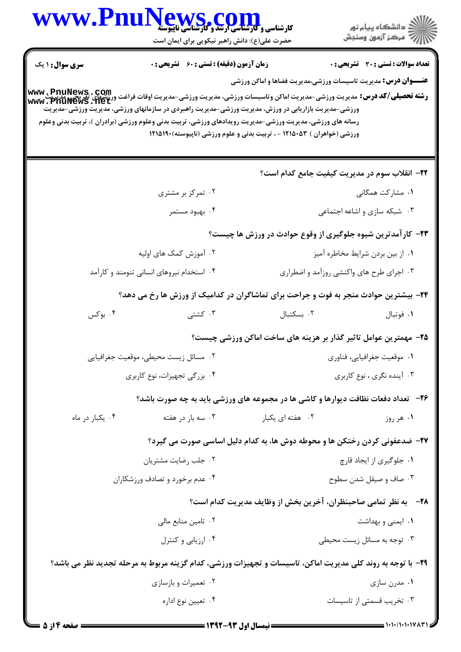| <b>WWW.Fn</b>          | ews.com<br><b>کارشناسی و گارشناسی ارشد و کارشناسی ناپیوسته</b><br>حضرت علی(ع): دانش راهبر نیکویی برای ایمان است |                                                                                                                                                                                                                                                                                                                                                                                                                                                 | ڪ دانشڪاه پيا <sub>م</sub> نور<br><mark>ر</mark> ⊽ مرڪز آزمون وسنڊش |
|------------------------|-----------------------------------------------------------------------------------------------------------------|-------------------------------------------------------------------------------------------------------------------------------------------------------------------------------------------------------------------------------------------------------------------------------------------------------------------------------------------------------------------------------------------------------------------------------------------------|---------------------------------------------------------------------|
| <b>سری سوال : ۱ یک</b> | <b>زمان آزمون (دقیقه) : تستی : 60 ٪ تشریحی : 0</b>                                                              | <b>عنـــوان درس:</b> مدیریت تاسیسات ورزشی،مدیریت فضاها و اماکن ورزشی                                                                                                                                                                                                                                                                                                                                                                            | تعداد سوالات : تستي : 30 ٪ تشريحي : 0                               |
|                        |                                                                                                                 | <b>رشته تحصیلی/کد درس:</b> مدیریت ورزشی-مدیریت اماکن وتاسیسات ورزشی، مدیریت ورزشی-مدیریت اوقات فراغت ورزشهای تقریحی، مدریت<br>Www . PhuNews . net<br>ورزشی-مدیریت بازاریابی در ورزش، مدیریت ورزشی-مدیریت راهبردی در سازمانهای ورزشی، مدیریت ورزشی-مدیریت<br>رسانه های ورزشی، مدیریت ورزشی-مدیریت رویدادهای ورزشی، تربیت بدنی وعلوم ورزشی (برادران )، تربیت بدنی وعلوم<br>ورزشی (خواهران ) ۱۲۱۵۰۵۳ - ، تربیت بدنی و علوم ورزشی (ناپیوسته)۱۲۱۵۱۹۰ |                                                                     |
|                        |                                                                                                                 | ٢٢- انقلاب سوم در مديريت كيفيت جامع كدام است؟                                                                                                                                                                                                                                                                                                                                                                                                   |                                                                     |
|                        | ۰۲ تمرکز بر مشتری                                                                                               |                                                                                                                                                                                                                                                                                                                                                                                                                                                 | ۰۱ مشارکت همگانی                                                    |
|                        | ۰۴ بهبود مستمر                                                                                                  |                                                                                                                                                                                                                                                                                                                                                                                                                                                 | ۰۳ شبکه سازی و اشاعه اجتماعی                                        |
|                        |                                                                                                                 | ۲۳- کارآمدترین شیوه جلوگیری از وقوع حوادث در ورزش ها چیست؟                                                                                                                                                                                                                                                                                                                                                                                      |                                                                     |
|                        | ۰۲ آموزش کمک های اولیه                                                                                          |                                                                                                                                                                                                                                                                                                                                                                                                                                                 | ۰۱ از بین بردن شرایط مخاطره آمیز                                    |
|                        | ۰۴ استخدام نیروهای انسانی تنومند و کارآمد                                                                       | ۰۳ اجرای طرح های واکنشی روزآمد و اضطراری                                                                                                                                                                                                                                                                                                                                                                                                        |                                                                     |
|                        |                                                                                                                 | ۲۴- بیشترین حوادث منجر به فوت و جراحت برای تماشاگران در کدامیک از ورزش ها رخ می دهد؟                                                                                                                                                                                                                                                                                                                                                            |                                                                     |
| ۰۴ بوکس                | ۰۳ کشتی                                                                                                         | ٠٢ بسكتبال                                                                                                                                                                                                                                                                                                                                                                                                                                      | ۰۱ فوتبال                                                           |
|                        |                                                                                                                 | ۲۵– مهمترین عوامل تاثیر گذار بر هزینه های ساخت اماکن ورزشی چیست؟                                                                                                                                                                                                                                                                                                                                                                                |                                                                     |
|                        | ٠٢ مسائل زيست محيطي، موقعيت جغرافيايي                                                                           |                                                                                                                                                                                                                                                                                                                                                                                                                                                 | ۰۱ موقعیت جغرافیایی، فناوری                                         |
|                        | ۰۴ بزرگی تجهیزات، نوع کاربری                                                                                    |                                                                                                                                                                                                                                                                                                                                                                                                                                                 | ۰۳ آینده نگری ، نوع کاربری                                          |
|                        |                                                                                                                 | <b>۲۶</b> - تعداد دفعات نظافت دیوارها و کاشی ها در مجموعه های ورزشی باید به چه صورت باشد؟                                                                                                                                                                                                                                                                                                                                                       |                                                                     |
| ۰۴ يکبار در ماه        | ۰۳ سه بار در هفته                                                                                               | ۰۲ هفته ای یکبار                                                                                                                                                                                                                                                                                                                                                                                                                                | ۰۱ هر روز                                                           |
|                        |                                                                                                                 | ۲۷- ضدعفونی کردن رختکن ها و محوطه دوش ها، به کدام دلیل اساسی صورت می گیرد؟                                                                                                                                                                                                                                                                                                                                                                      |                                                                     |
|                        | ۰۲ جلب رضايت مشتريان                                                                                            |                                                                                                                                                                                                                                                                                                                                                                                                                                                 | ۰۱ جلوگیری از ایجاد قارچ                                            |
|                        | ۰۴ عدم برخورد و تصادف ورزشکاران                                                                                 |                                                                                                                                                                                                                                                                                                                                                                                                                                                 | ۰۳ صاف و صيقل شدن سطوح                                              |
|                        |                                                                                                                 | <b>۲۸</b> - ٪ به نظر تمامی صاحبنظران، آخرین بخش از وظایف مدیریت کدام است؟                                                                                                                                                                                                                                                                                                                                                                       |                                                                     |
|                        | ۰۲ تامین منابع مالی                                                                                             |                                                                                                                                                                                                                                                                                                                                                                                                                                                 | ۰۱ ایمنی و بهداشت                                                   |
|                        | ۰۴ ارزیابی و کنترل                                                                                              |                                                                                                                                                                                                                                                                                                                                                                                                                                                 | ۰۳ توجه به مسائل زیست محیطی                                         |
|                        |                                                                                                                 | ۲۹- با توجه به روند کلی مدیریت اماکن، تاسیسات و تجهیزات ورزشی، کدام گزینه مربوط به مرحله تجدید نظر می باشد؟                                                                                                                                                                                                                                                                                                                                     |                                                                     |
|                        | ۰۲ تعمیرات و بازسازی                                                                                            |                                                                                                                                                                                                                                                                                                                                                                                                                                                 | ۰۱ مدرن سازی                                                        |
|                        | ۰۴ تعيين نوع اداره                                                                                              |                                                                                                                                                                                                                                                                                                                                                                                                                                                 | ۰۳ تخریب قسمتی از تاسیسات                                           |
|                        |                                                                                                                 |                                                                                                                                                                                                                                                                                                                                                                                                                                                 |                                                                     |

 $\blacksquare$